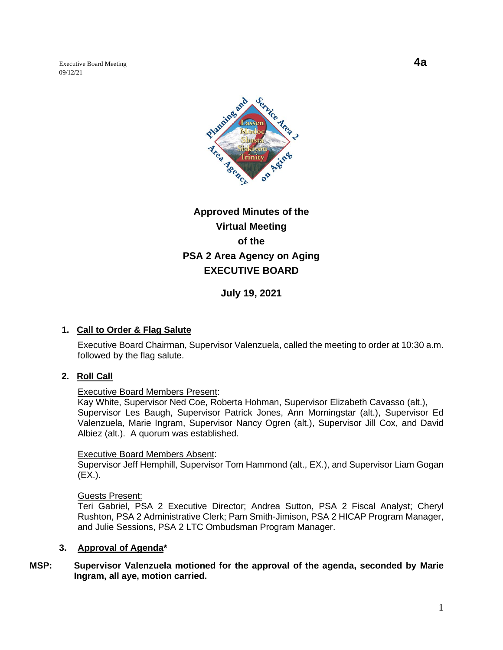Executive Board Meeting **4a** 09/12/21



# **Approved Minutes of the Virtual Meeting of the PSA 2 Area Agency on Aging EXECUTIVE BOARD**

**July 19, 2021**

# **1. Call to Order & Flag Salute**

Executive Board Chairman, Supervisor Valenzuela, called the meeting to order at 10:30 a.m. followed by the flag salute.

# **2. Roll Call**

# Executive Board Members Present:

Kay White, Supervisor Ned Coe, Roberta Hohman, Supervisor Elizabeth Cavasso (alt.), Supervisor Les Baugh, Supervisor Patrick Jones, Ann Morningstar (alt.), Supervisor Ed Valenzuela, Marie Ingram, Supervisor Nancy Ogren (alt.), Supervisor Jill Cox, and David Albiez (alt.). A quorum was established.

#### Executive Board Members Absent:

Supervisor Jeff Hemphill, Supervisor Tom Hammond (alt., EX.), and Supervisor Liam Gogan (EX.).

# Guests Present:

Teri Gabriel, PSA 2 Executive Director; Andrea Sutton, PSA 2 Fiscal Analyst; Cheryl Rushton, PSA 2 Administrative Clerk; Pam Smith-Jimison, PSA 2 HICAP Program Manager, and Julie Sessions, PSA 2 LTC Ombudsman Program Manager.

# **3. Approval of Agenda\***

# **MSP: Supervisor Valenzuela motioned for the approval of the agenda, seconded by Marie Ingram, all aye, motion carried.**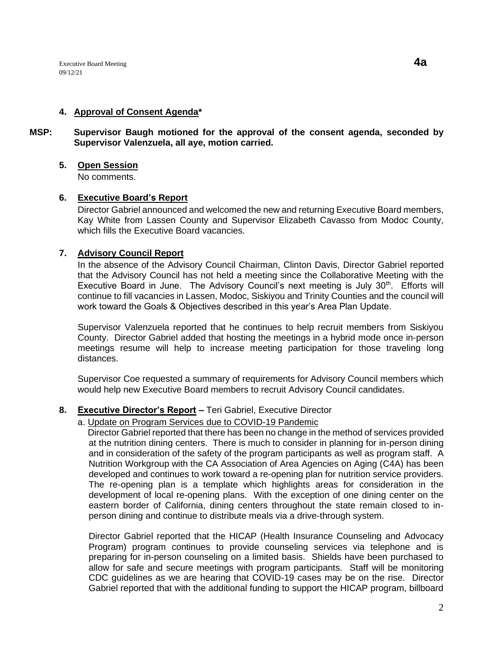## **4. Approval of Consent Agenda\***

**MSP: Supervisor Baugh motioned for the approval of the consent agenda, seconded by Supervisor Valenzuela, all aye, motion carried.** 

## **5. Open Session**

No comments.

## **6. Executive Board's Report**

Director Gabriel announced and welcomed the new and returning Executive Board members, Kay White from Lassen County and Supervisor Elizabeth Cavasso from Modoc County, which fills the Executive Board vacancies.

## **7. Advisory Council Report**

In the absence of the Advisory Council Chairman, Clinton Davis, Director Gabriel reported that the Advisory Council has not held a meeting since the Collaborative Meeting with the Executive Board in June. The Advisory Council's next meeting is July 30<sup>th</sup>. Efforts will continue to fill vacancies in Lassen, Modoc, Siskiyou and Trinity Counties and the council will work toward the Goals & Objectives described in this year's Area Plan Update.

Supervisor Valenzuela reported that he continues to help recruit members from Siskiyou County. Director Gabriel added that hosting the meetings in a hybrid mode once in-person meetings resume will help to increase meeting participation for those traveling long distances.

Supervisor Coe requested a summary of requirements for Advisory Council members which would help new Executive Board members to recruit Advisory Council candidates.

# **8. Executive Director's Report –** Teri Gabriel, Executive Director

## a. Update on Program Services due to COVID-19 Pandemic

 Director Gabriel reported that there has been no change in the method of services provided at the nutrition dining centers. There is much to consider in planning for in-person dining and in consideration of the safety of the program participants as well as program staff. A Nutrition Workgroup with the CA Association of Area Agencies on Aging (C4A) has been developed and continues to work toward a re-opening plan for nutrition service providers. The re-opening plan is a template which highlights areas for consideration in the development of local re-opening plans. With the exception of one dining center on the eastern border of California, dining centers throughout the state remain closed to inperson dining and continue to distribute meals via a drive-through system.

Director Gabriel reported that the HICAP (Health Insurance Counseling and Advocacy Program) program continues to provide counseling services via telephone and is preparing for in-person counseling on a limited basis. Shields have been purchased to allow for safe and secure meetings with program participants. Staff will be monitoring CDC guidelines as we are hearing that COVID-19 cases may be on the rise. Director Gabriel reported that with the additional funding to support the HICAP program, billboard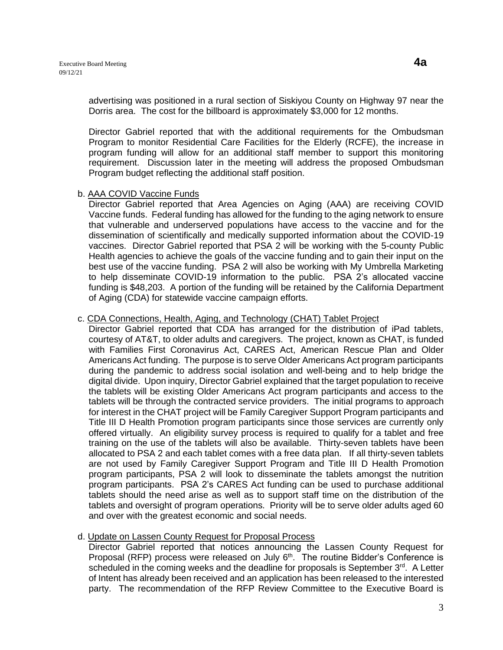advertising was positioned in a rural section of Siskiyou County on Highway 97 near the Dorris area. The cost for the billboard is approximately \$3,000 for 12 months.

Director Gabriel reported that with the additional requirements for the Ombudsman Program to monitor Residential Care Facilities for the Elderly (RCFE), the increase in program funding will allow for an additional staff member to support this monitoring requirement. Discussion later in the meeting will address the proposed Ombudsman Program budget reflecting the additional staff position.

#### b. AAA COVID Vaccine Funds

Director Gabriel reported that Area Agencies on Aging (AAA) are receiving COVID Vaccine funds. Federal funding has allowed for the funding to the aging network to ensure that vulnerable and underserved populations have access to the vaccine and for the dissemination of scientifically and medically supported information about the COVID-19 vaccines. Director Gabriel reported that PSA 2 will be working with the 5-county Public Health agencies to achieve the goals of the vaccine funding and to gain their input on the best use of the vaccine funding. PSA 2 will also be working with My Umbrella Marketing to help disseminate COVID-19 information to the public. PSA 2's allocated vaccine funding is \$48,203. A portion of the funding will be retained by the California Department of Aging (CDA) for statewide vaccine campaign efforts.

## c. CDA Connections, Health, Aging, and Technology (CHAT) Tablet Project

Director Gabriel reported that CDA has arranged for the distribution of iPad tablets, courtesy of AT&T, to older adults and caregivers. The project, known as CHAT, is funded with Families First Coronavirus Act, CARES Act, American Rescue Plan and Older Americans Act funding. The purpose is to serve Older Americans Act program participants during the pandemic to address social isolation and well-being and to help bridge the digital divide. Upon inquiry, Director Gabriel explained that the target population to receive the tablets will be existing Older Americans Act program participants and access to the tablets will be through the contracted service providers. The initial programs to approach for interest in the CHAT project will be Family Caregiver Support Program participants and Title III D Health Promotion program participants since those services are currently only offered virtually. An eligibility survey process is required to qualify for a tablet and free training on the use of the tablets will also be available. Thirty-seven tablets have been allocated to PSA 2 and each tablet comes with a free data plan. If all thirty-seven tablets are not used by Family Caregiver Support Program and Title III D Health Promotion program participants, PSA 2 will look to disseminate the tablets amongst the nutrition program participants. PSA 2's CARES Act funding can be used to purchase additional tablets should the need arise as well as to support staff time on the distribution of the tablets and oversight of program operations. Priority will be to serve older adults aged 60 and over with the greatest economic and social needs.

#### d. Update on Lassen County Request for Proposal Process

Director Gabriel reported that notices announcing the Lassen County Request for Proposal (RFP) process were released on July  $6<sup>th</sup>$ . The routine Bidder's Conference is scheduled in the coming weeks and the deadline for proposals is September  $3<sup>rd</sup>$ . A Letter of Intent has already been received and an application has been released to the interested party. The recommendation of the RFP Review Committee to the Executive Board is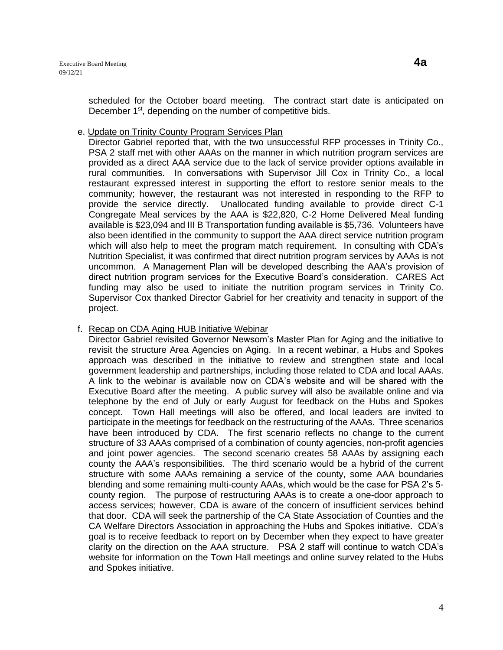scheduled for the October board meeting. The contract start date is anticipated on December 1<sup>st</sup>, depending on the number of competitive bids.

## e. Update on Trinity County Program Services Plan

Director Gabriel reported that, with the two unsuccessful RFP processes in Trinity Co., PSA 2 staff met with other AAAs on the manner in which nutrition program services are provided as a direct AAA service due to the lack of service provider options available in rural communities. In conversations with Supervisor Jill Cox in Trinity Co., a local restaurant expressed interest in supporting the effort to restore senior meals to the community; however, the restaurant was not interested in responding to the RFP to provide the service directly. Unallocated funding available to provide direct C-1 Congregate Meal services by the AAA is \$22,820, C-2 Home Delivered Meal funding available is \$23,094 and III B Transportation funding available is \$5,736. Volunteers have also been identified in the community to support the AAA direct service nutrition program which will also help to meet the program match requirement. In consulting with CDA's Nutrition Specialist, it was confirmed that direct nutrition program services by AAAs is not uncommon. A Management Plan will be developed describing the AAA's provision of direct nutrition program services for the Executive Board's consideration. CARES Act funding may also be used to initiate the nutrition program services in Trinity Co. Supervisor Cox thanked Director Gabriel for her creativity and tenacity in support of the project.

# f. Recap on CDA Aging HUB Initiative Webinar

Director Gabriel revisited Governor Newsom's Master Plan for Aging and the initiative to revisit the structure Area Agencies on Aging. In a recent webinar, a Hubs and Spokes approach was described in the initiative to review and strengthen state and local government leadership and partnerships, including those related to CDA and local AAAs. A link to the webinar is available now on CDA's website and will be shared with the Executive Board after the meeting. A public survey will also be available online and via telephone by the end of July or early August for feedback on the Hubs and Spokes concept. Town Hall meetings will also be offered, and local leaders are invited to participate in the meetings for feedback on the restructuring of the AAAs. Three scenarios have been introduced by CDA. The first scenario reflects no change to the current structure of 33 AAAs comprised of a combination of county agencies, non-profit agencies and joint power agencies. The second scenario creates 58 AAAs by assigning each county the AAA's responsibilities. The third scenario would be a hybrid of the current structure with some AAAs remaining a service of the county, some AAA boundaries blending and some remaining multi-county AAAs, which would be the case for PSA 2's 5 county region. The purpose of restructuring AAAs is to create a one-door approach to access services; however, CDA is aware of the concern of insufficient services behind that door. CDA will seek the partnership of the CA State Association of Counties and the CA Welfare Directors Association in approaching the Hubs and Spokes initiative. CDA's goal is to receive feedback to report on by December when they expect to have greater clarity on the direction on the AAA structure. PSA 2 staff will continue to watch CDA's website for information on the Town Hall meetings and online survey related to the Hubs and Spokes initiative.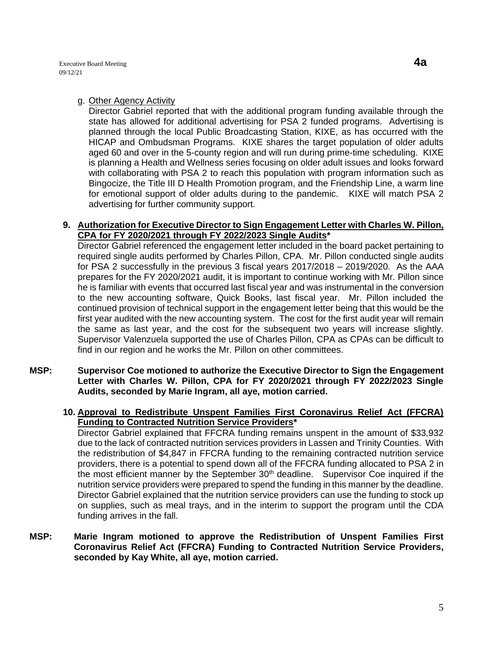#### g. Other Agency Activity

Director Gabriel reported that with the additional program funding available through the state has allowed for additional advertising for PSA 2 funded programs. Advertising is planned through the local Public Broadcasting Station, KIXE, as has occurred with the HICAP and Ombudsman Programs. KIXE shares the target population of older adults aged 60 and over in the 5-county region and will run during prime-time scheduling. KIXE is planning a Health and Wellness series focusing on older adult issues and looks forward with collaborating with PSA 2 to reach this population with program information such as Bingocize, the Title III D Health Promotion program, and the Friendship Line, a warm line for emotional support of older adults during to the pandemic. KIXE will match PSA 2 advertising for further community support.

#### **9. Authorization for Executive Director to Sign Engagement Letter with Charles W. Pillon, CPA for FY 2020/2021 through FY 2022/2023 Single Audits\***

Director Gabriel referenced the engagement letter included in the board packet pertaining to required single audits performed by Charles Pillon, CPA. Mr. Pillon conducted single audits for PSA 2 successfully in the previous 3 fiscal years 2017/2018 – 2019/2020. As the AAA prepares for the FY 2020/2021 audit, it is important to continue working with Mr. Pillon since he is familiar with events that occurred last fiscal year and was instrumental in the conversion to the new accounting software, Quick Books, last fiscal year. Mr. Pillon included the continued provision of technical support in the engagement letter being that this would be the first year audited with the new accounting system. The cost for the first audit year will remain the same as last year, and the cost for the subsequent two years will increase slightly. Supervisor Valenzuela supported the use of Charles Pillon, CPA as CPAs can be difficult to find in our region and he works the Mr. Pillon on other committees.

**MSP: Supervisor Coe motioned to authorize the Executive Director to Sign the Engagement Letter with Charles W. Pillon, CPA for FY 2020/2021 through FY 2022/2023 Single Audits, seconded by Marie Ingram, all aye, motion carried.** 

## **10. Approval to Redistribute Unspent Families First Coronavirus Relief Act (FFCRA) Funding to Contracted Nutrition Service Providers\***

Director Gabriel explained that FFCRA funding remains unspent in the amount of \$33,932 due to the lack of contracted nutrition services providers in Lassen and Trinity Counties. With the redistribution of \$4,847 in FFCRA funding to the remaining contracted nutrition service providers, there is a potential to spend down all of the FFCRA funding allocated to PSA 2 in the most efficient manner by the September  $30<sup>th</sup>$  deadline. Supervisor Coe inquired if the nutrition service providers were prepared to spend the funding in this manner by the deadline. Director Gabriel explained that the nutrition service providers can use the funding to stock up on supplies, such as meal trays, and in the interim to support the program until the CDA funding arrives in the fall.

**MSP: Marie Ingram motioned to approve the Redistribution of Unspent Families First Coronavirus Relief Act (FFCRA) Funding to Contracted Nutrition Service Providers, seconded by Kay White, all aye, motion carried.**